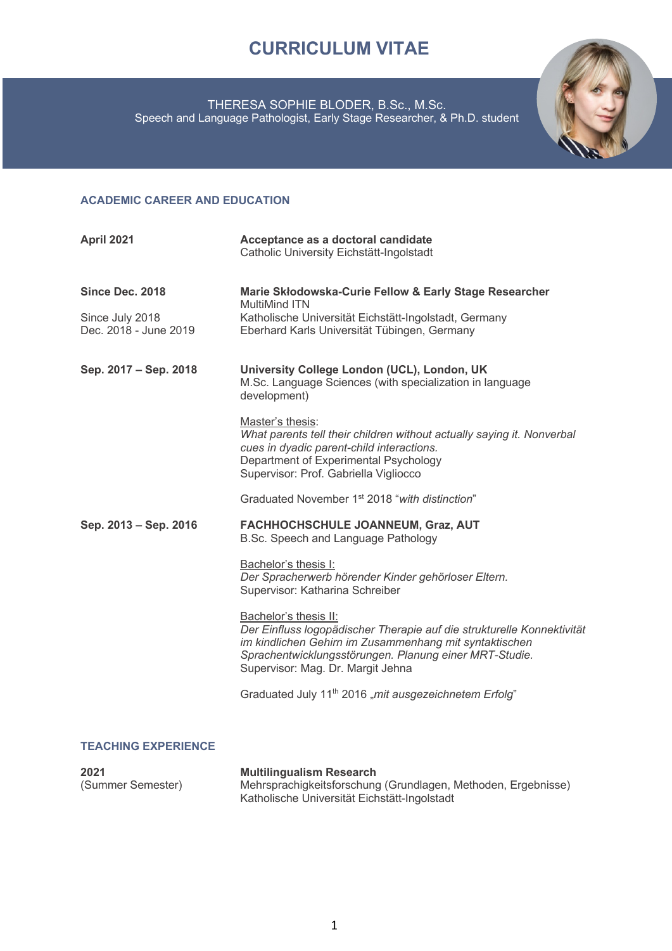# **CURRICULUM VITAE**

#### THERESA SOPHIE BLODER, B.Sc., M.Sc. Speech and Language Pathologist, Early Stage Researcher, & Ph.D. student



### **ACADEMIC CAREER AND EDUCATION**

| April 2021                               | Acceptance as a doctoral candidate<br>Catholic University Eichstätt-Ingolstadt                                                                                                                                                                           |
|------------------------------------------|----------------------------------------------------------------------------------------------------------------------------------------------------------------------------------------------------------------------------------------------------------|
| Since Dec. 2018                          | Marie Skłodowska-Curie Fellow & Early Stage Researcher<br><b>MultiMind ITN</b>                                                                                                                                                                           |
| Since July 2018<br>Dec. 2018 - June 2019 | Katholische Universität Eichstätt-Ingolstadt, Germany<br>Eberhard Karls Universität Tübingen, Germany                                                                                                                                                    |
| Sep. 2017 - Sep. 2018                    | University College London (UCL), London, UK<br>M.Sc. Language Sciences (with specialization in language<br>development)                                                                                                                                  |
|                                          | Master's thesis:<br>What parents tell their children without actually saying it. Nonverbal<br>cues in dyadic parent-child interactions.<br>Department of Experimental Psychology<br>Supervisor: Prof. Gabriella Vigliocco                                |
|                                          | Graduated November 1 <sup>st</sup> 2018 "with distinction"                                                                                                                                                                                               |
| Sep. 2013 - Sep. 2016                    | FACHHOCHSCHULE JOANNEUM, Graz, AUT<br>B.Sc. Speech and Language Pathology                                                                                                                                                                                |
|                                          | Bachelor's thesis I:<br>Der Spracherwerb hörender Kinder gehörloser Eltern.<br>Supervisor: Katharina Schreiber                                                                                                                                           |
|                                          | Bachelor's thesis II:<br>Der Einfluss logopädischer Therapie auf die strukturelle Konnektivität<br>im kindlichen Gehirn im Zusammenhang mit syntaktischen<br>Sprachentwicklungsstörungen. Planung einer MRT-Studie.<br>Supervisor: Mag. Dr. Margit Jehna |
|                                          | Graduated July 11 <sup>th</sup> 2016 "mit ausgezeichnetem Erfolg"                                                                                                                                                                                        |
|                                          |                                                                                                                                                                                                                                                          |
| <b>TEACHING EXPERIENCE</b>               |                                                                                                                                                                                                                                                          |

| 2021              | <b>Multilingualism Research</b>                               |
|-------------------|---------------------------------------------------------------|
| (Summer Semester) | Mehrsprachigkeitsforschung (Grundlagen, Methoden, Ergebnisse) |
|                   | Katholische Universität Eichstätt-Ingolstadt                  |